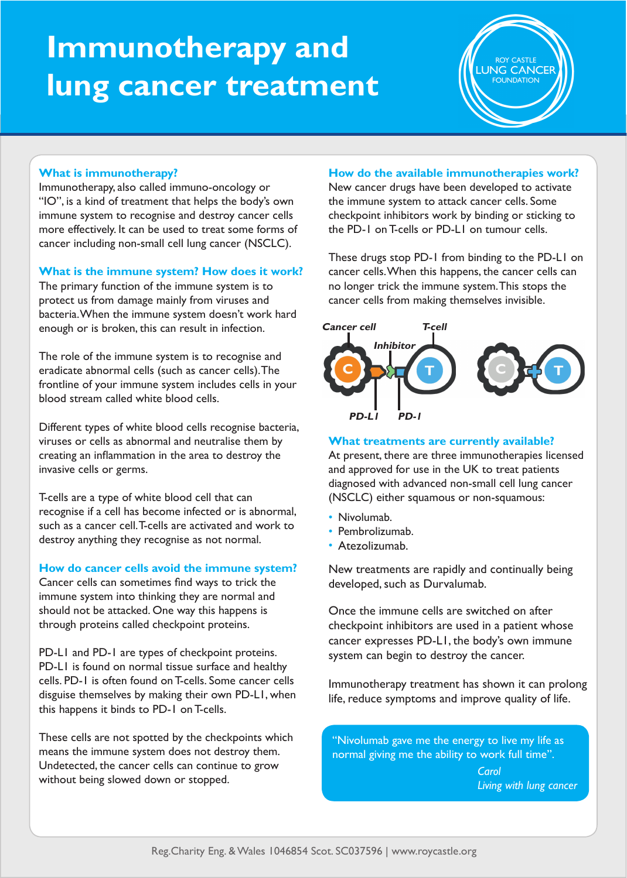# **Immunotherapy and lung cancer treatment**

**UNG CANCER** 

# **What is immunotherapy?**

Immunotherapy, also called immuno-oncology or "IO", is a kind of treatment that helps the body's own immune system to recognise and destroy cancer cells more effectively. It can be used to treat some forms of cancer including non-small cell lung cancer (NSCLC).

# **What is the immune system? How does it work?**

The primary function of the immune system is to protect us from damage mainly from viruses and bacteria. When the immune system doesn't work hard enough or is broken, this can result in infection.

The role of the immune system is to recognise and eradicate abnormal cells (such as cancer cells). The frontline of your immune system includes cells in your blood stream called white blood cells.

Different types of white blood cells recognise bacteria, viruses or cells as abnormal and neutralise them by creating an inflammation in the area to destroy the invasive cells or germs.

T-cells are a type of white blood cell that can recognise if a cell has become infected or is abnormal, such as a cancer cell. T-cells are activated and work to destroy anything they recognise as not normal.

## **How do cancer cells avoid the immune system?**

Cancer cells can sometimes find ways to trick the immune system into thinking they are normal and should not be attacked. One way this happens is through proteins called checkpoint proteins.

PD-L1 and PD-1 are types of checkpoint proteins. PD-L1 is found on normal tissue surface and healthy cells. PD-1 is often found on T-cells. Some cancer cells disguise themselves by making their own PD-L1, when this happens it binds to PD-1 on T-cells.

These cells are not spotted by the checkpoints which means the immune system does not destroy them. Undetected, the cancer cells can continue to grow without being slowed down or stopped.

## **How do the available immunotherapies work?**

New cancer drugs have been developed to activate the immune system to attack cancer cells. Some checkpoint inhibitors work by binding or sticking to the PD-1 on T-cells or PD-L1 on tumour cells.

These drugs stop PD-1 from binding to the PD-L1 on cancer cells. When this happens, the cancer cells can no longer trick the immune system. This stops the cancer cells from making themselves invisible.



## **What treatments are currently available?**

At present, there are three immunotherapies licensed and approved for use in the UK to treat patients diagnosed with advanced non-small cell lung cancer (NSCLC) either squamous or non-squamous:

- Nivolumab.
- Pembrolizumab.
- Atezolizumab. •

New treatments are rapidly and continually being developed, such as Durvalumab.

Once the immune cells are switched on after checkpoint inhibitors are used in a patient whose cancer expresses PD-L1, the body's own immune system can begin to destroy the cancer.

Immunotherapy treatment has shown it can prolong life, reduce symptoms and improve quality of life.

"Nivolumab gave me the energy to live my life as normal giving me the ability to work full time".

> *Carol Living with lung cancer*